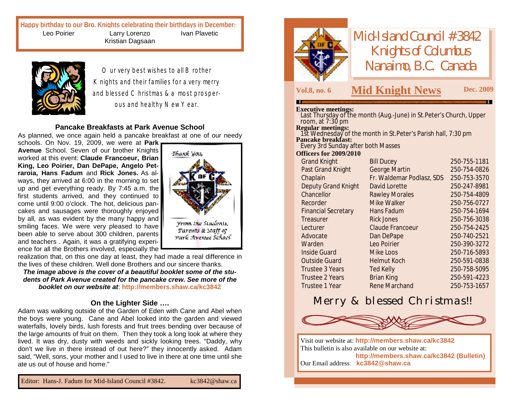**Happy birthday to our Bro. Knights celebrating their birthdays in December:** Leo Poirier Larry Lorenzo Kristian Dagsaan Ivan Plavetic



Our very best wishes to all Brother Knights and their families for a very merry and blessed Christmas & a most prosperous and healthy New Year.

#### **Pancake Breakfasts at Park Avenue School**

As planned, we once again held a pancake breakfast at one of our needy

schools. On Nov. 19, 2009, we were at **Park Avenue** School. Seven of our brother Knights worked at this event: **Claude Francoeur, Brian King, Leo Poirier, Dan DePape, Angelo Petraroia, Hans Fadum** and **Rick Jones.** As always, they arrived at 6:00 in the morning to set up and get everything ready. By 7:45 a.m. the first students arrived, and they continued to come until 9:00 o'clock. The hot, delicious pancakes and sausages were thoroughly enjoyed by all, as was evident by the many happy and smiling faces. We were very pleased to have been able to serve about 300 children, parents and teachers . Again, it was a gratifying experience for all the Brothers involved, especially the



realization that, on this one day at least, they had made a real difference in the lives of these children. Well done Brothers and our sincere thanks.

*The image above is the cover of a beautiful booklet some of the students of Park Avenue created for the pancake crew. See more of the booklet on our website at*: **<http://members.shaw.ca/kc3842>**

#### **On the Lighter Side ….**

Adam was walking outside of the Garden of Eden with Cane and Abel when the boys were young. Cane and Abel looked into the garden and viewed waterfalls, lovely birds, lush forests and fruit trees bending over because of the large amounts of fruit on them. Then they took a long look at where they lived. It was dry, dusty with weeds and sickly looking trees. "Daddy, why don't we live in there instead of out here?" they innocently asked. Adam said, "Well, sons, your mother and I used to live in there at one time until she ate us out of house and home."



*Mid-Island Council #3842 Knights of Columbus Nanaimo, B.C. Canada*

### **Vol.8, no. <sup>6</sup> M Dec. <sup>2009</sup> id Knight News**

#### **Executive meetings:**

Last Thursday of the month (Aug.-June) in St.Peter's Church, Upper room, at 7:30 pm

**Regular meetings:**

1st Wednesday of the month in St.Peter's Parish hall, 7:30 pm **Pancake breakfast:** Every 3rd Sunday after both Masses

#### **Officers for 2009/2010**

|                      | 250-755-1181                                                                             |
|----------------------|------------------------------------------------------------------------------------------|
|                      | 250-754-0826                                                                             |
|                      | 250-753-3570                                                                             |
| David Lorette        | 250-247-8981                                                                             |
|                      | 250-754-4809                                                                             |
| Mike Walker          | 250-756-0727                                                                             |
| Hans Fadum           | 250-754-1694                                                                             |
| <b>Rick Jones</b>    | 250-756-3038                                                                             |
| Claude Francoeur     | 250-754-2425                                                                             |
| Dan DePape           | 250-740-2521                                                                             |
| Leo Poirier          | 250-390-3272                                                                             |
| Mike Loos            | 250-716-5893                                                                             |
| <b>Helmut Koch</b>   | 250-591-0838                                                                             |
| <b>Ted Kelly</b>     | 250-758-5095                                                                             |
| <b>Brian King</b>    | 250-591-4223                                                                             |
| <b>Rene Marchand</b> | 250-753-1657                                                                             |
|                      | <b>Bill Ducey</b><br>George Martin<br>Fr. Waldemar Podlasz, SDS<br><b>Rawley Morales</b> |

## Merry & blessed Christmas!!



Visit our website at: **<http://members.shaw.ca/kc3842>** This bulletin is also available on our website at: **<http://members.shaw.ca/kc3842> (Bulletin)** Our Email address: **[kc3842@shaw.ca](mailto:kc3842@shaw.ca)**